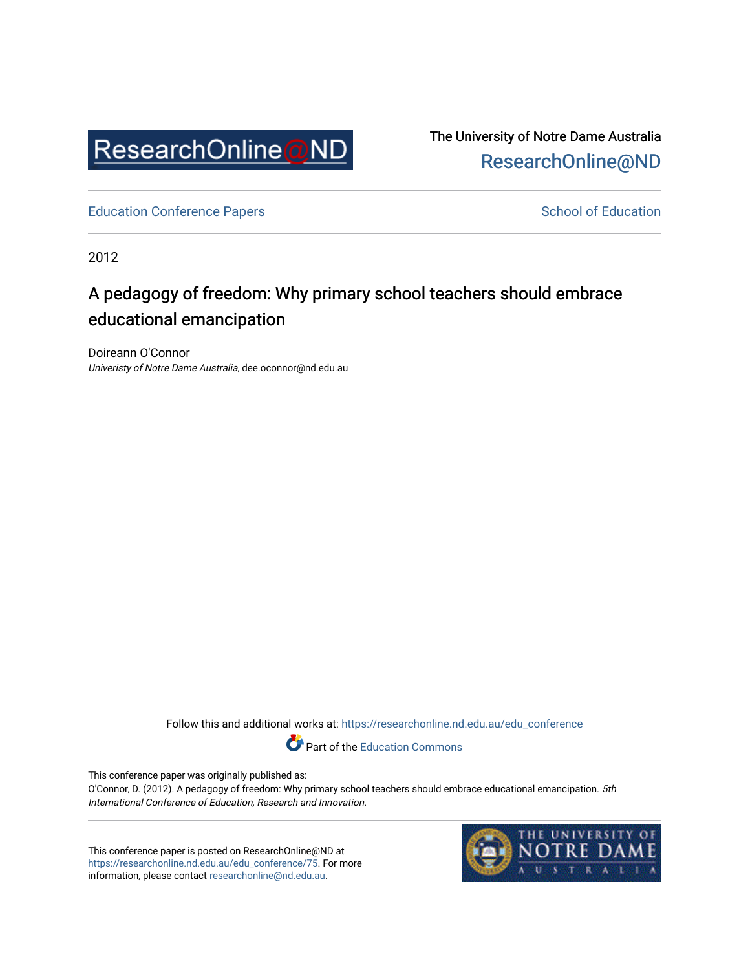

The University of Notre Dame Australia [ResearchOnline@ND](https://researchonline.nd.edu.au/) 

[Education Conference Papers](https://researchonline.nd.edu.au/edu_conference) **School of Education** School of Education

2012

# A pedagogy of freedom: Why primary school teachers should embrace educational emancipation

Doireann O'Connor Univeristy of Notre Dame Australia, dee.oconnor@nd.edu.au

Follow this and additional works at: [https://researchonline.nd.edu.au/edu\\_conference](https://researchonline.nd.edu.au/edu_conference?utm_source=researchonline.nd.edu.au%2Fedu_conference%2F75&utm_medium=PDF&utm_campaign=PDFCoverPages)

Part of the [Education Commons](http://network.bepress.com/hgg/discipline/784?utm_source=researchonline.nd.edu.au%2Fedu_conference%2F75&utm_medium=PDF&utm_campaign=PDFCoverPages) 

This conference paper was originally published as:

O'Connor, D. (2012). A pedagogy of freedom: Why primary school teachers should embrace educational emancipation. 5th International Conference of Education, Research and Innovation.

This conference paper is posted on ResearchOnline@ND at [https://researchonline.nd.edu.au/edu\\_conference/75.](https://researchonline.nd.edu.au/edu_conference/75) For more information, please contact [researchonline@nd.edu.au.](mailto:researchonline@nd.edu.au)

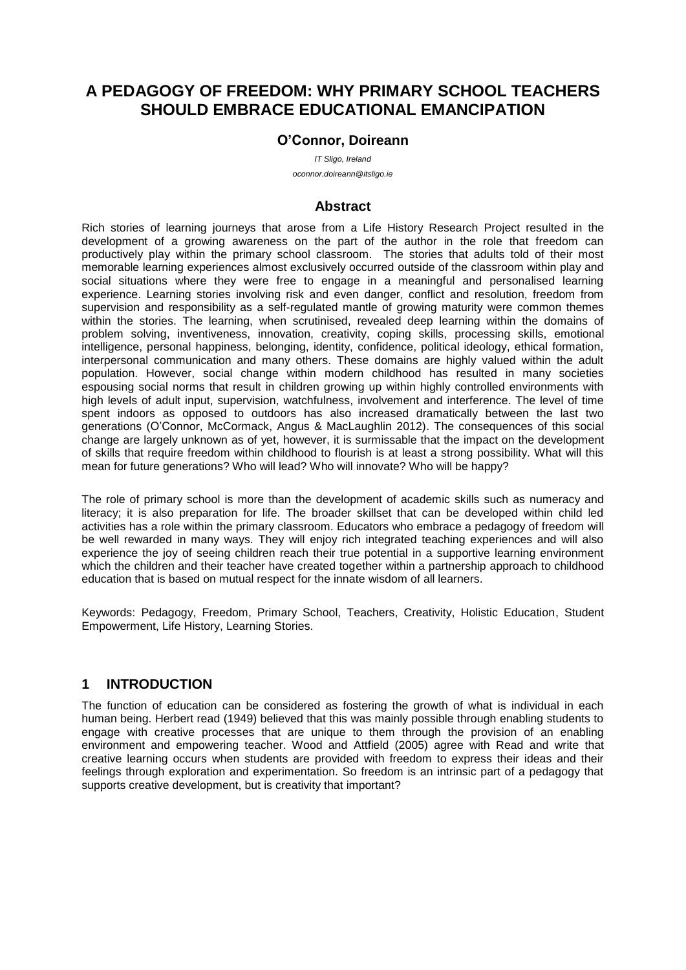# **A PEDAGOGY OF FREEDOM: WHY PRIMARY SCHOOL TEACHERS SHOULD EMBRACE EDUCATIONAL EMANCIPATION**

#### **O'Connor, Doireann**

*IT Sligo, Ireland oconnor.doireann@itsligo.ie*

#### **Abstract**

Rich stories of learning journeys that arose from a Life History Research Project resulted in the development of a growing awareness on the part of the author in the role that freedom can productively play within the primary school classroom. The stories that adults told of their most memorable learning experiences almost exclusively occurred outside of the classroom within play and social situations where they were free to engage in a meaningful and personalised learning experience. Learning stories involving risk and even danger, conflict and resolution, freedom from supervision and responsibility as a self-regulated mantle of growing maturity were common themes within the stories. The learning, when scrutinised, revealed deep learning within the domains of problem solving, inventiveness, innovation, creativity, coping skills, processing skills, emotional intelligence, personal happiness, belonging, identity, confidence, political ideology, ethical formation, interpersonal communication and many others. These domains are highly valued within the adult population. However, social change within modern childhood has resulted in many societies espousing social norms that result in children growing up within highly controlled environments with high levels of adult input, supervision, watchfulness, involvement and interference. The level of time spent indoors as opposed to outdoors has also increased dramatically between the last two generations (O'Connor, McCormack, Angus & MacLaughlin 2012). The consequences of this social change are largely unknown as of yet, however, it is surmissable that the impact on the development of skills that require freedom within childhood to flourish is at least a strong possibility. What will this mean for future generations? Who will lead? Who will innovate? Who will be happy?

The role of primary school is more than the development of academic skills such as numeracy and literacy; it is also preparation for life. The broader skillset that can be developed within child led activities has a role within the primary classroom. Educators who embrace a pedagogy of freedom will be well rewarded in many ways. They will enjoy rich integrated teaching experiences and will also experience the joy of seeing children reach their true potential in a supportive learning environment which the children and their teacher have created together within a partnership approach to childhood education that is based on mutual respect for the innate wisdom of all learners.

Keywords: Pedagogy, Freedom, Primary School, Teachers, Creativity, Holistic Education, Student Empowerment, Life History, Learning Stories.

## **1 INTRODUCTION**

The function of education can be considered as fostering the growth of what is individual in each human being. Herbert read (1949) believed that this was mainly possible through enabling students to engage with creative processes that are unique to them through the provision of an enabling environment and empowering teacher. Wood and Attfield (2005) agree with Read and write that creative learning occurs when students are provided with freedom to express their ideas and their feelings through exploration and experimentation. So freedom is an intrinsic part of a pedagogy that supports creative development, but is creativity that important?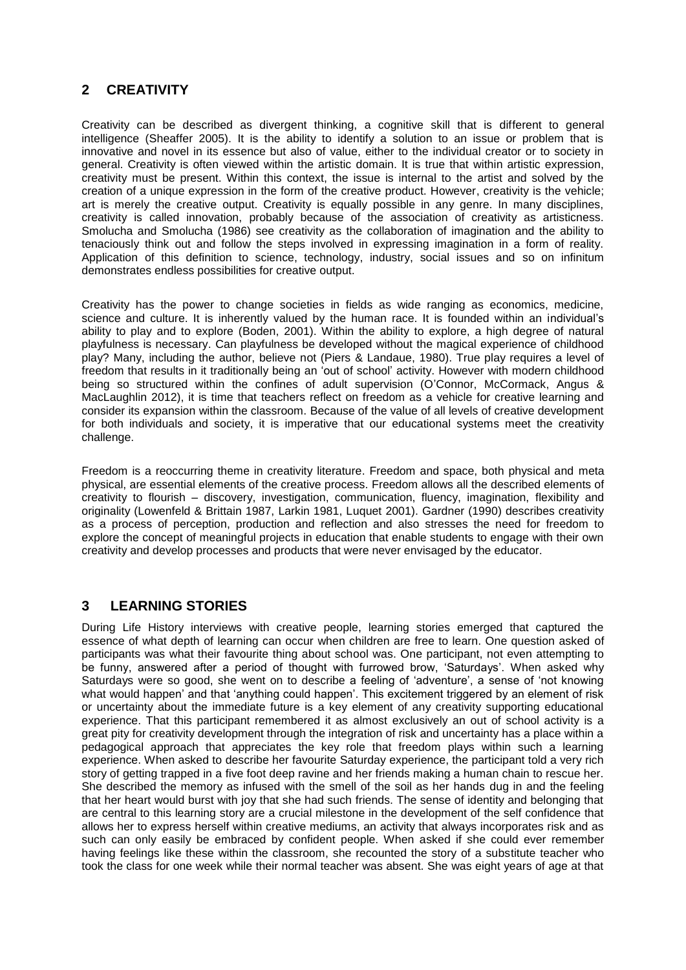# **2 CREATIVITY**

Creativity can be described as divergent thinking, a cognitive skill that is different to general intelligence (Sheaffer 2005). It is the ability to identify a solution to an issue or problem that is innovative and novel in its essence but also of value, either to the individual creator or to society in general. Creativity is often viewed within the artistic domain. It is true that within artistic expression, creativity must be present. Within this context, the issue is internal to the artist and solved by the creation of a unique expression in the form of the creative product. However, creativity is the vehicle; art is merely the creative output. Creativity is equally possible in any genre. In many disciplines, creativity is called innovation, probably because of the association of creativity as artisticness. Smolucha and Smolucha (1986) see creativity as the collaboration of imagination and the ability to tenaciously think out and follow the steps involved in expressing imagination in a form of reality. Application of this definition to science, technology, industry, social issues and so on infinitum demonstrates endless possibilities for creative output.

Creativity has the power to change societies in fields as wide ranging as economics, medicine, science and culture. It is inherently valued by the human race. It is founded within an individual's ability to play and to explore (Boden, 2001). Within the ability to explore, a high degree of natural playfulness is necessary. Can playfulness be developed without the magical experience of childhood play? Many, including the author, believe not (Piers & Landaue, 1980). True play requires a level of freedom that results in it traditionally being an 'out of school' activity. However with modern childhood being so structured within the confines of adult supervision (O'Connor, McCormack, Angus & MacLaughlin 2012), it is time that teachers reflect on freedom as a vehicle for creative learning and consider its expansion within the classroom. Because of the value of all levels of creative development for both individuals and society, it is imperative that our educational systems meet the creativity challenge.

Freedom is a reoccurring theme in creativity literature. Freedom and space, both physical and meta physical, are essential elements of the creative process. Freedom allows all the described elements of creativity to flourish – discovery, investigation, communication, fluency, imagination, flexibility and originality (Lowenfeld & Brittain 1987, Larkin 1981, Luquet 2001). Gardner (1990) describes creativity as a process of perception, production and reflection and also stresses the need for freedom to explore the concept of meaningful projects in education that enable students to engage with their own creativity and develop processes and products that were never envisaged by the educator.

# **3 LEARNING STORIES**

During Life History interviews with creative people, learning stories emerged that captured the essence of what depth of learning can occur when children are free to learn. One question asked of participants was what their favourite thing about school was. One participant, not even attempting to be funny, answered after a period of thought with furrowed brow, 'Saturdays'. When asked why Saturdays were so good, she went on to describe a feeling of 'adventure', a sense of 'not knowing what would happen' and that 'anything could happen'. This excitement triggered by an element of risk or uncertainty about the immediate future is a key element of any creativity supporting educational experience. That this participant remembered it as almost exclusively an out of school activity is a great pity for creativity development through the integration of risk and uncertainty has a place within a pedagogical approach that appreciates the key role that freedom plays within such a learning experience. When asked to describe her favourite Saturday experience, the participant told a very rich story of getting trapped in a five foot deep ravine and her friends making a human chain to rescue her. She described the memory as infused with the smell of the soil as her hands dug in and the feeling that her heart would burst with joy that she had such friends. The sense of identity and belonging that are central to this learning story are a crucial milestone in the development of the self confidence that allows her to express herself within creative mediums, an activity that always incorporates risk and as such can only easily be embraced by confident people. When asked if she could ever remember having feelings like these within the classroom, she recounted the story of a substitute teacher who took the class for one week while their normal teacher was absent. She was eight years of age at that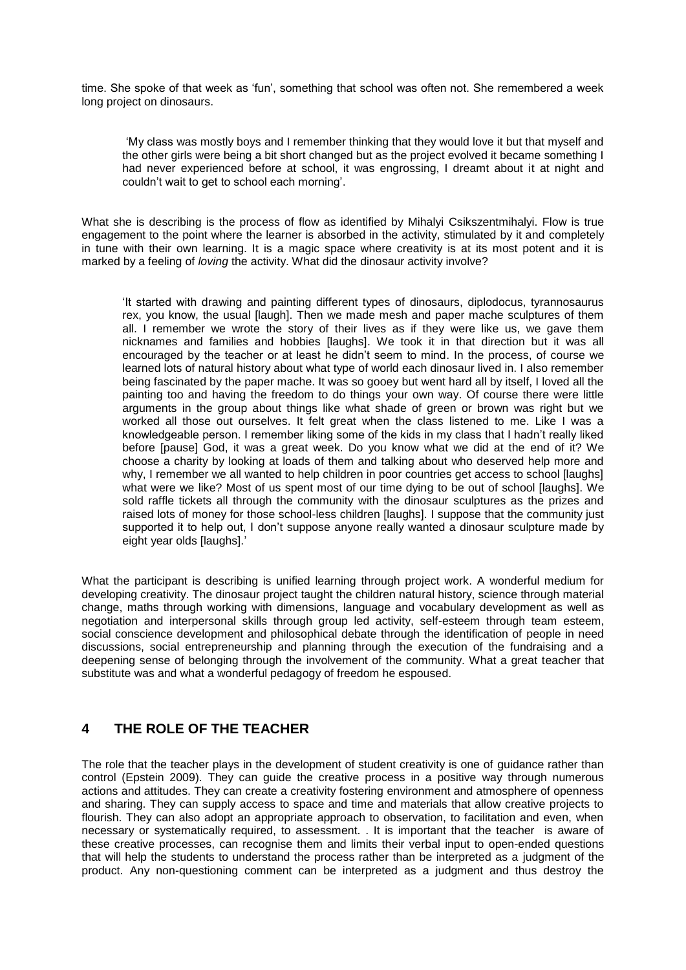time. She spoke of that week as 'fun', something that school was often not. She remembered a week long project on dinosaurs.

'My class was mostly boys and I remember thinking that they would love it but that myself and the other girls were being a bit short changed but as the project evolved it became something I had never experienced before at school, it was engrossing, I dreamt about it at night and couldn't wait to get to school each morning'.

What she is describing is the process of flow as identified by Mihalyi Csikszentmihalyi. Flow is true engagement to the point where the learner is absorbed in the activity, stimulated by it and completely in tune with their own learning. It is a magic space where creativity is at its most potent and it is marked by a feeling of *loving* the activity. What did the dinosaur activity involve?

'It started with drawing and painting different types of dinosaurs, diplodocus, tyrannosaurus rex, you know, the usual [laugh]. Then we made mesh and paper mache sculptures of them all. I remember we wrote the story of their lives as if they were like us, we gave them nicknames and families and hobbies [laughs]. We took it in that direction but it was all encouraged by the teacher or at least he didn't seem to mind. In the process, of course we learned lots of natural history about what type of world each dinosaur lived in. I also remember being fascinated by the paper mache. It was so gooey but went hard all by itself, I loved all the painting too and having the freedom to do things your own way. Of course there were little arguments in the group about things like what shade of green or brown was right but we worked all those out ourselves. It felt great when the class listened to me. Like I was a knowledgeable person. I remember liking some of the kids in my class that I hadn't really liked before [pause] God, it was a great week. Do you know what we did at the end of it? We choose a charity by looking at loads of them and talking about who deserved help more and why, I remember we all wanted to help children in poor countries get access to school [laughs] what were we like? Most of us spent most of our time dying to be out of school [laughs]. We sold raffle tickets all through the community with the dinosaur sculptures as the prizes and raised lots of money for those school-less children [laughs]. I suppose that the community just supported it to help out, I don't suppose anyone really wanted a dinosaur sculpture made by eight year olds [laughs].'

What the participant is describing is unified learning through project work. A wonderful medium for developing creativity. The dinosaur project taught the children natural history, science through material change, maths through working with dimensions, language and vocabulary development as well as negotiation and interpersonal skills through group led activity, self-esteem through team esteem, social conscience development and philosophical debate through the identification of people in need discussions, social entrepreneurship and planning through the execution of the fundraising and a deepening sense of belonging through the involvement of the community. What a great teacher that substitute was and what a wonderful pedagogy of freedom he espoused.

## **4 THE ROLE OF THE TEACHER**

The role that the teacher plays in the development of student creativity is one of guidance rather than control (Epstein 2009). They can guide the creative process in a positive way through numerous actions and attitudes. They can create a creativity fostering environment and atmosphere of openness and sharing. They can supply access to space and time and materials that allow creative projects to flourish. They can also adopt an appropriate approach to observation, to facilitation and even, when necessary or systematically required, to assessment. . It is important that the teacher is aware of these creative processes, can recognise them and limits their verbal input to open-ended questions that will help the students to understand the process rather than be interpreted as a judgment of the product. Any non-questioning comment can be interpreted as a judgment and thus destroy the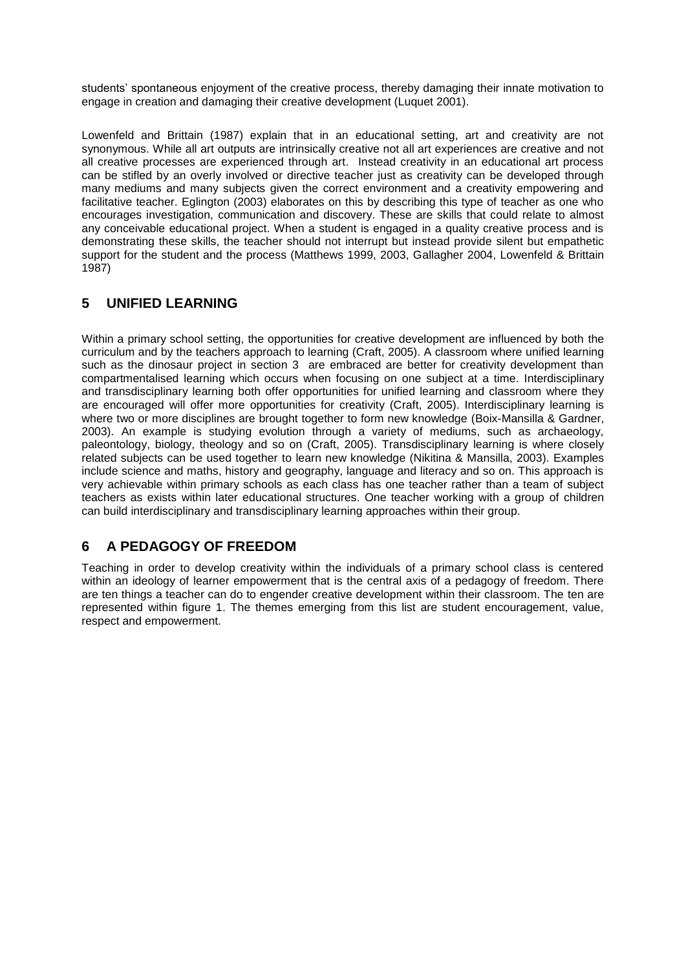students' spontaneous enjoyment of the creative process, thereby damaging their innate motivation to engage in creation and damaging their creative development (Luquet 2001).

Lowenfeld and Brittain (1987) explain that in an educational setting, art and creativity are not synonymous. While all art outputs are intrinsically creative not all art experiences are creative and not all creative processes are experienced through art. Instead creativity in an educational art process can be stifled by an overly involved or directive teacher just as creativity can be developed through many mediums and many subjects given the correct environment and a creativity empowering and facilitative teacher. Eglington (2003) elaborates on this by describing this type of teacher as one who encourages investigation, communication and discovery. These are skills that could relate to almost any conceivable educational project. When a student is engaged in a quality creative process and is demonstrating these skills, the teacher should not interrupt but instead provide silent but empathetic support for the student and the process (Matthews 1999, 2003, Gallagher 2004, Lowenfeld & Brittain 1987)

## **5 UNIFIED LEARNING**

Within a primary school setting, the opportunities for creative development are influenced by both the curriculum and by the teachers approach to learning (Craft, 2005). A classroom where unified learning such as the dinosaur project in section 3 are embraced are better for creativity development than compartmentalised learning which occurs when focusing on one subject at a time. Interdisciplinary and transdisciplinary learning both offer opportunities for unified learning and classroom where they are encouraged will offer more opportunities for creativity (Craft, 2005). Interdisciplinary learning is where two or more disciplines are brought together to form new knowledge (Boix-Mansilla & Gardner, 2003). An example is studying evolution through a variety of mediums, such as archaeology, paleontology, biology, theology and so on (Craft, 2005). Transdisciplinary learning is where closely related subjects can be used together to learn new knowledge (Nikitina & Mansilla, 2003). Examples include science and maths, history and geography, language and literacy and so on. This approach is very achievable within primary schools as each class has one teacher rather than a team of subject teachers as exists within later educational structures. One teacher working with a group of children can build interdisciplinary and transdisciplinary learning approaches within their group.

# **6 A PEDAGOGY OF FREEDOM**

Teaching in order to develop creativity within the individuals of a primary school class is centered within an ideology of learner empowerment that is the central axis of a pedagogy of freedom. There are ten things a teacher can do to engender creative development within their classroom. The ten are represented within figure 1. The themes emerging from this list are student encouragement, value, respect and empowerment.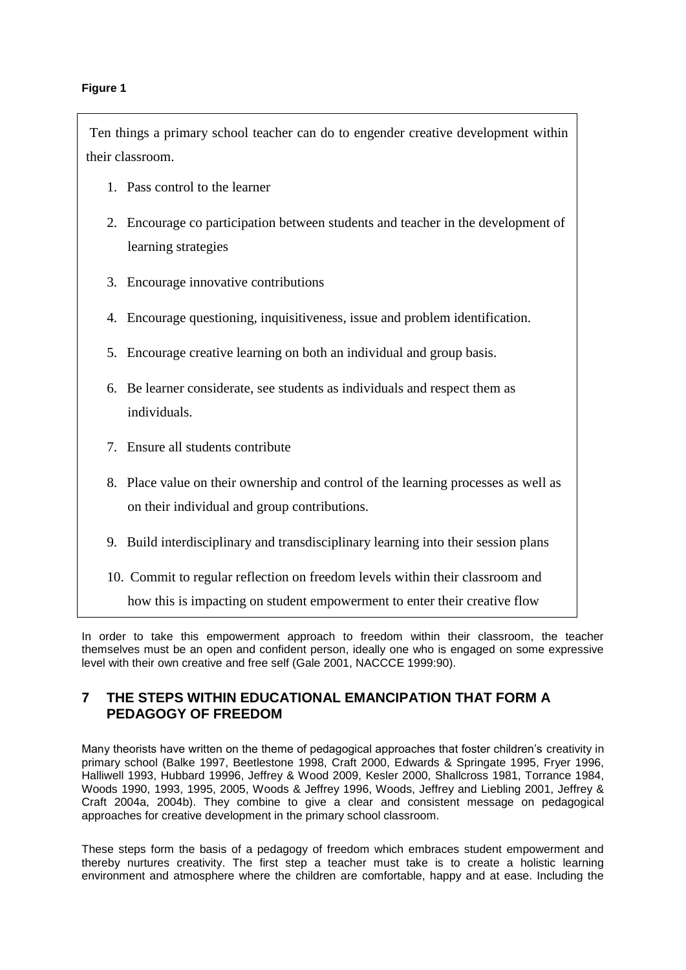#### **Figure 1**

Ten things a primary school teacher can do to engender creative development within their classroom.

- 1. Pass control to the learner
- 2. Encourage co participation between students and teacher in the development of learning strategies
- 3. Encourage innovative contributions
- 4. Encourage questioning, inquisitiveness, issue and problem identification.
- 5. Encourage creative learning on both an individual and group basis.
- 6. Be learner considerate, see students as individuals and respect them as individuals.
- 7. Ensure all students contribute
- 8. Place value on their ownership and control of the learning processes as well as on their individual and group contributions.
- 9. Build interdisciplinary and transdisciplinary learning into their session plans
- 10. Commit to regular reflection on freedom levels within their classroom and

how this is impacting on student empowerment to enter their creative flow

In order to take this empowerment approach to freedom within their classroom, the teacher themselves must be an open and confident person, ideally one who is engaged on some expressive level with their own creative and free self (Gale 2001, NACCCE 1999:90).

## **7 THE STEPS WITHIN EDUCATIONAL EMANCIPATION THAT FORM A PEDAGOGY OF FREEDOM**

Many theorists have written on the theme of pedagogical approaches that foster children's creativity in primary school (Balke 1997, Beetlestone 1998, Craft 2000, Edwards & Springate 1995, Fryer 1996, Halliwell 1993, Hubbard 19996, Jeffrey & Wood 2009, Kesler 2000, Shallcross 1981, Torrance 1984, Woods 1990, 1993, 1995, 2005, Woods & Jeffrey 1996, Woods, Jeffrey and Liebling 2001, Jeffrey & Craft 2004a, 2004b). They combine to give a clear and consistent message on pedagogical approaches for creative development in the primary school classroom.

These steps form the basis of a pedagogy of freedom which embraces student empowerment and thereby nurtures creativity. The first step a teacher must take is to create a holistic learning environment and atmosphere where the children are comfortable, happy and at ease. Including the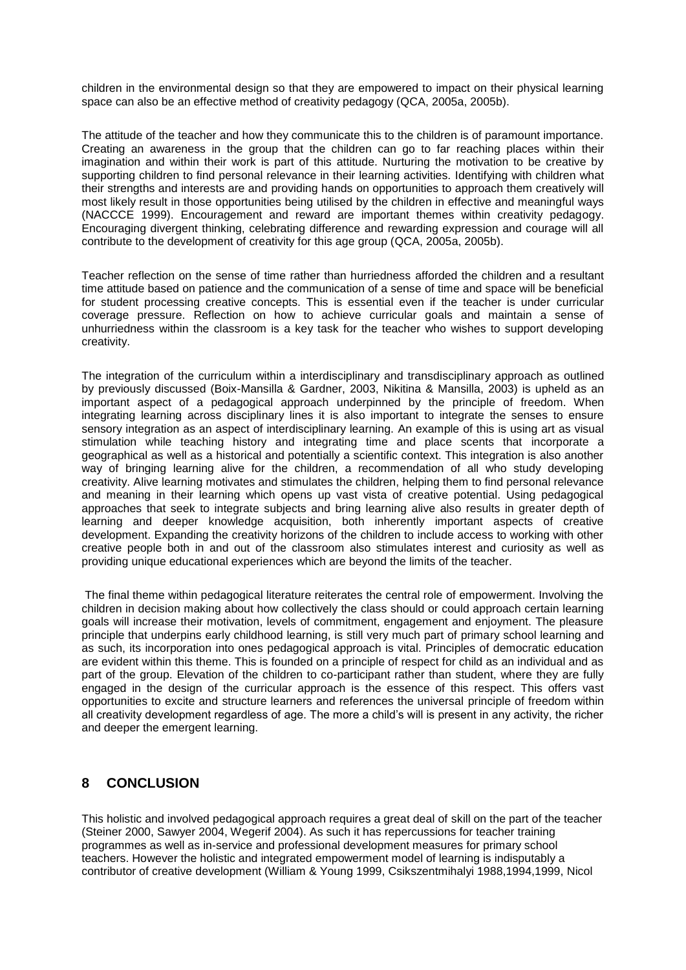children in the environmental design so that they are empowered to impact on their physical learning space can also be an effective method of creativity pedagogy (QCA, 2005a, 2005b).

The attitude of the teacher and how they communicate this to the children is of paramount importance. Creating an awareness in the group that the children can go to far reaching places within their imagination and within their work is part of this attitude. Nurturing the motivation to be creative by supporting children to find personal relevance in their learning activities. Identifying with children what their strengths and interests are and providing hands on opportunities to approach them creatively will most likely result in those opportunities being utilised by the children in effective and meaningful ways (NACCCE 1999). Encouragement and reward are important themes within creativity pedagogy. Encouraging divergent thinking, celebrating difference and rewarding expression and courage will all contribute to the development of creativity for this age group (QCA, 2005a, 2005b).

Teacher reflection on the sense of time rather than hurriedness afforded the children and a resultant time attitude based on patience and the communication of a sense of time and space will be beneficial for student processing creative concepts. This is essential even if the teacher is under curricular coverage pressure. Reflection on how to achieve curricular goals and maintain a sense of unhurriedness within the classroom is a key task for the teacher who wishes to support developing creativity.

The integration of the curriculum within a interdisciplinary and transdisciplinary approach as outlined by previously discussed (Boix-Mansilla & Gardner, 2003, Nikitina & Mansilla, 2003) is upheld as an important aspect of a pedagogical approach underpinned by the principle of freedom. When integrating learning across disciplinary lines it is also important to integrate the senses to ensure sensory integration as an aspect of interdisciplinary learning. An example of this is using art as visual stimulation while teaching history and integrating time and place scents that incorporate a geographical as well as a historical and potentially a scientific context. This integration is also another way of bringing learning alive for the children, a recommendation of all who study developing creativity. Alive learning motivates and stimulates the children, helping them to find personal relevance and meaning in their learning which opens up vast vista of creative potential. Using pedagogical approaches that seek to integrate subjects and bring learning alive also results in greater depth of learning and deeper knowledge acquisition, both inherently important aspects of creative development. Expanding the creativity horizons of the children to include access to working with other creative people both in and out of the classroom also stimulates interest and curiosity as well as providing unique educational experiences which are beyond the limits of the teacher.

The final theme within pedagogical literature reiterates the central role of empowerment. Involving the children in decision making about how collectively the class should or could approach certain learning goals will increase their motivation, levels of commitment, engagement and enjoyment. The pleasure principle that underpins early childhood learning, is still very much part of primary school learning and as such, its incorporation into ones pedagogical approach is vital. Principles of democratic education are evident within this theme. This is founded on a principle of respect for child as an individual and as part of the group. Elevation of the children to co-participant rather than student, where they are fully engaged in the design of the curricular approach is the essence of this respect. This offers vast opportunities to excite and structure learners and references the universal principle of freedom within all creativity development regardless of age. The more a child's will is present in any activity, the richer and deeper the emergent learning.

## **8 CONCLUSION**

This holistic and involved pedagogical approach requires a great deal of skill on the part of the teacher (Steiner 2000, Sawyer 2004, Wegerif 2004). As such it has repercussions for teacher training programmes as well as in-service and professional development measures for primary school teachers. However the holistic and integrated empowerment model of learning is indisputably a contributor of creative development (William & Young 1999, Csikszentmihalyi 1988,1994,1999, Nicol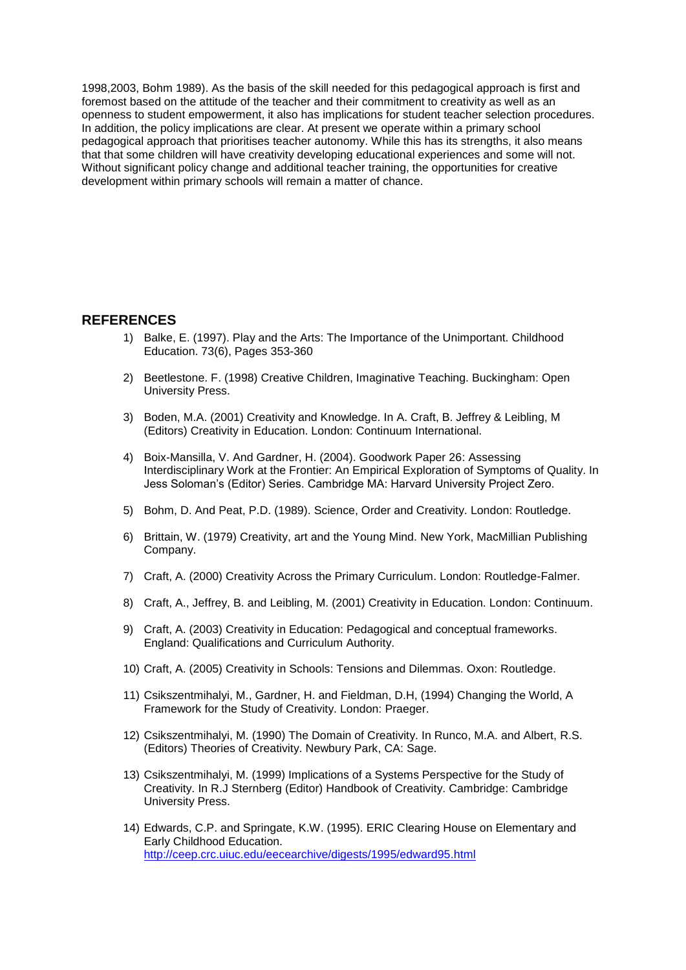1998,2003, Bohm 1989). As the basis of the skill needed for this pedagogical approach is first and foremost based on the attitude of the teacher and their commitment to creativity as well as an openness to student empowerment, it also has implications for student teacher selection procedures. In addition, the policy implications are clear. At present we operate within a primary school pedagogical approach that prioritises teacher autonomy. While this has its strengths, it also means that that some children will have creativity developing educational experiences and some will not. Without significant policy change and additional teacher training, the opportunities for creative development within primary schools will remain a matter of chance.

#### **REFERENCES**

- 1) Balke, E. (1997). Play and the Arts: The Importance of the Unimportant. Childhood Education. 73(6), Pages 353-360
- 2) Beetlestone. F. (1998) Creative Children, Imaginative Teaching. Buckingham: Open University Press.
- 3) Boden, M.A. (2001) Creativity and Knowledge. In A. Craft, B. Jeffrey & Leibling, M (Editors) Creativity in Education. London: Continuum International.
- 4) Boix-Mansilla, V. And Gardner, H. (2004). Goodwork Paper 26: Assessing Interdisciplinary Work at the Frontier: An Empirical Exploration of Symptoms of Quality. In Jess Soloman's (Editor) Series. Cambridge MA: Harvard University Project Zero.
- 5) Bohm, D. And Peat, P.D. (1989). Science, Order and Creativity. London: Routledge.
- 6) Brittain, W. (1979) Creativity, art and the Young Mind. New York, MacMillian Publishing Company.
- 7) Craft, A. (2000) Creativity Across the Primary Curriculum. London: Routledge-Falmer.
- 8) Craft, A., Jeffrey, B. and Leibling, M. (2001) Creativity in Education. London: Continuum.
- 9) Craft, A. (2003) Creativity in Education: Pedagogical and conceptual frameworks. England: Qualifications and Curriculum Authority.
- 10) Craft, A. (2005) Creativity in Schools: Tensions and Dilemmas. Oxon: Routledge.
- 11) Csikszentmihalyi, M., Gardner, H. and Fieldman, D.H, (1994) Changing the World, A Framework for the Study of Creativity. London: Praeger.
- 12) Csikszentmihalyi, M. (1990) The Domain of Creativity. In Runco, M.A. and Albert, R.S. (Editors) Theories of Creativity. Newbury Park, CA: Sage.
- 13) Csikszentmihalyi, M. (1999) Implications of a Systems Perspective for the Study of Creativity. In R.J Sternberg (Editor) Handbook of Creativity. Cambridge: Cambridge University Press.
- 14) Edwards, C.P. and Springate, K.W. (1995). ERIC Clearing House on Elementary and Early Childhood Education. <http://ceep.crc.uiuc.edu/eecearchive/digests/1995/edward95.html>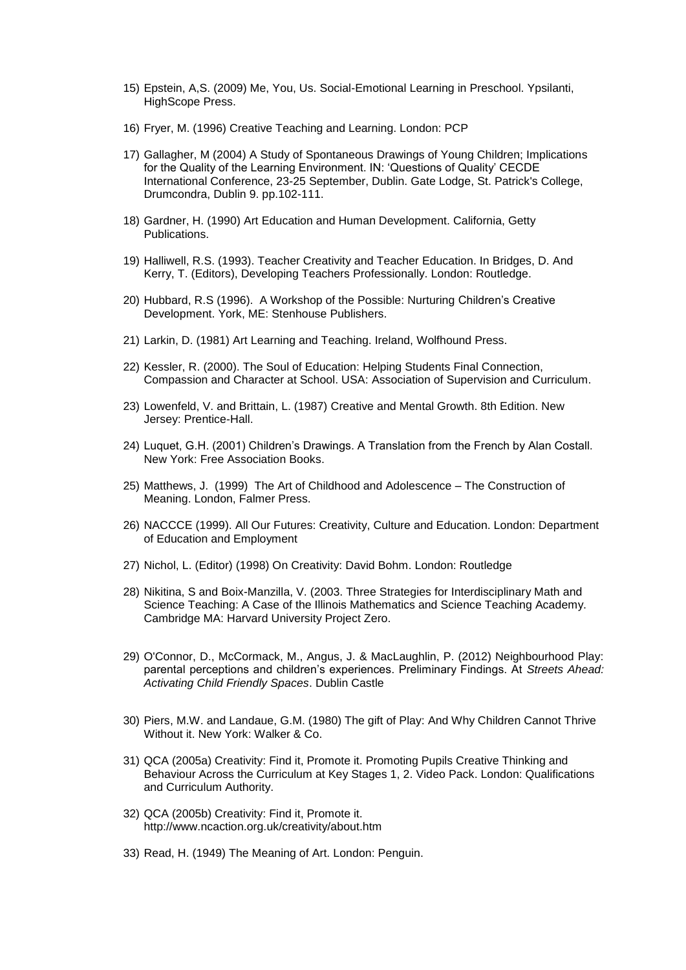- 15) Epstein, A,S. (2009) Me, You, Us. Social-Emotional Learning in Preschool. Ypsilanti, HighScope Press.
- 16) Fryer, M. (1996) Creative Teaching and Learning. London: PCP
- 17) Gallagher, M (2004) A Study of Spontaneous Drawings of Young Children; Implications for the Quality of the Learning Environment. IN: 'Questions of Quality' CECDE International Conference, 23-25 September, Dublin. Gate Lodge, St. Patrick's College, Drumcondra, Dublin 9. pp.102-111.
- 18) Gardner, H. (1990) Art Education and Human Development. California, Getty Publications.
- 19) Halliwell, R.S. (1993). Teacher Creativity and Teacher Education. In Bridges, D. And Kerry, T. (Editors), Developing Teachers Professionally. London: Routledge.
- 20) Hubbard, R.S (1996). A Workshop of the Possible: Nurturing Children's Creative Development. York, ME: Stenhouse Publishers.
- 21) Larkin, D. (1981) Art Learning and Teaching. Ireland, Wolfhound Press.
- 22) Kessler, R. (2000). The Soul of Education: Helping Students Final Connection, Compassion and Character at School. USA: Association of Supervision and Curriculum.
- 23) Lowenfeld, V. and Brittain, L. (1987) Creative and Mental Growth. 8th Edition. New Jersey: Prentice-Hall.
- 24) Luquet, G.H. (2001) Children's Drawings. A Translation from the French by Alan Costall. New York: Free Association Books.
- 25) Matthews, J. (1999) The Art of Childhood and Adolescence The Construction of Meaning. London, Falmer Press.
- 26) NACCCE (1999). All Our Futures: Creativity, Culture and Education. London: Department of Education and Employment
- 27) Nichol, L. (Editor) (1998) On Creativity: David Bohm. London: Routledge
- 28) Nikitina, S and Boix-Manzilla, V. (2003. Three Strategies for Interdisciplinary Math and Science Teaching: A Case of the Illinois Mathematics and Science Teaching Academy. Cambridge MA: Harvard University Project Zero.
- 29) O'Connor, D., McCormack, M., Angus, J. & MacLaughlin, P. (2012) Neighbourhood Play: parental perceptions and children's experiences. Preliminary Findings. At *Streets Ahead: Activating Child Friendly Spaces*. Dublin Castle
- 30) Piers, M.W. and Landaue, G.M. (1980) The gift of Play: And Why Children Cannot Thrive Without it. New York: Walker & Co.
- 31) QCA (2005a) Creativity: Find it, Promote it. Promoting Pupils Creative Thinking and Behaviour Across the Curriculum at Key Stages 1, 2. Video Pack. London: Qualifications and Curriculum Authority.
- 32) QCA (2005b) Creativity: Find it, Promote it. http://www.ncaction.org.uk/creativity/about.htm
- 33) Read, H. (1949) The Meaning of Art. London: Penguin.